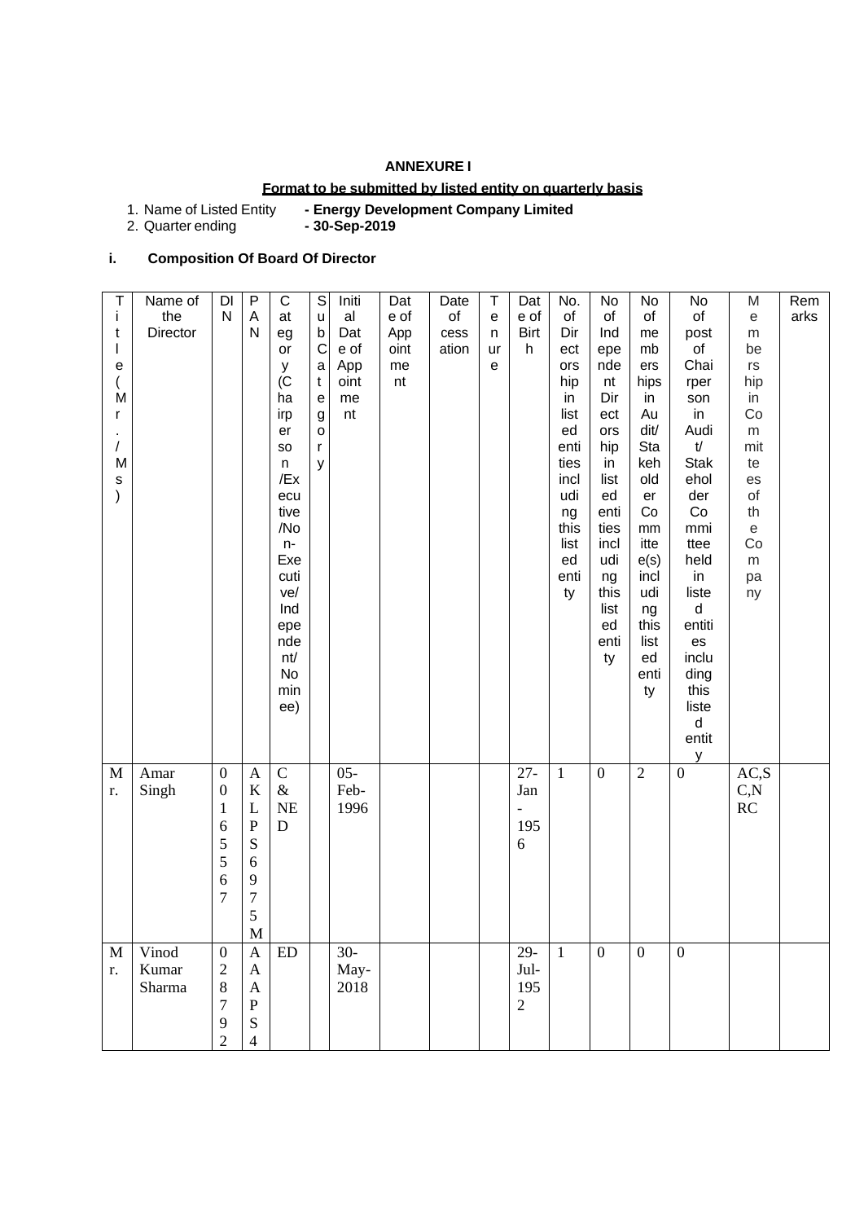## **ANNEXURE I**

### **Format to be submitted by listed entity on quarterly basis**

1. Name of Listed Entity **- Energy Development Company Limited**

2. Quarter ending

# **i. Composition Of Board Of Director**

| Τ<br>i<br>t<br>T<br>e<br>$\overline{(}$<br>M<br>r<br>$\prime$<br>M<br>S<br>$\mathcal{E}$ | Name of<br>the<br>Director | DI<br>$\mathsf{N}$                                                                         | $\sf P$<br>A<br>N                                                                            | $\mathsf C$<br>at<br>eg<br>or<br>у<br>$\overline{C}$<br>ha<br>irp<br>er<br>SO<br>n<br>/Ex<br>ecu<br>tive<br>/No<br>$n-$<br>Exe<br>cuti<br>ve/<br>Ind<br>epe<br>nde<br>nt/<br>No<br>min | $\mathbb S$<br>u<br>$\mathsf b$<br>$\mathsf C$<br>a<br>t<br>e<br>g<br>0<br>r<br>У | Initi<br>al<br>Dat<br>e of<br>App<br>oint<br>me<br>nt | Dat<br>e of<br>App<br>oint<br>me<br>nt | Date<br>of<br>cess<br>ation | Τ<br>е<br>n<br>ur<br>е | Dat<br>e of<br><b>Birt</b><br>h      | No.<br>of<br>Dir<br>ect<br>ors<br>hip<br>in<br>list<br>ed<br>enti<br>ties<br>incl<br>udi<br>ng<br>this<br>list<br>ed<br>enti<br>ty | No<br>of<br>Ind<br>epe<br>nde<br>nt<br>Dir<br>ect<br>ors<br>hip<br>in<br>list<br>ed<br>enti<br>ties<br>incl<br>udi<br>ng<br>this<br>list<br>ed<br>enti<br>ty | No<br>of<br>me<br>mb<br>ers<br>hips<br>in<br>Au<br>dit/<br>Sta<br>keh<br>old<br>er<br>Co<br>mm<br>itte<br>e(s)<br>incl<br>udi<br>ng<br>this<br>list<br>ed<br>enti<br>ty | No<br>of<br>post<br>of<br>Chai<br>rper<br>son<br>in<br>Audi<br>$\mathsf{t\!$<br><b>Stak</b><br>ehol<br>der<br>Co<br>mmi<br>ttee<br>held<br>in<br>liste<br>d<br>entiti<br>es<br>inclu<br>ding<br>this | M<br>е<br>m<br>be<br>rs<br>hip<br>in<br>Co<br>${\sf m}$<br>mit<br>te<br>es<br>οf<br>th<br>e<br>Co<br>${\sf m}$<br>pa<br>ny | Rem<br>arks |
|------------------------------------------------------------------------------------------|----------------------------|--------------------------------------------------------------------------------------------|----------------------------------------------------------------------------------------------|----------------------------------------------------------------------------------------------------------------------------------------------------------------------------------------|-----------------------------------------------------------------------------------|-------------------------------------------------------|----------------------------------------|-----------------------------|------------------------|--------------------------------------|------------------------------------------------------------------------------------------------------------------------------------|--------------------------------------------------------------------------------------------------------------------------------------------------------------|-------------------------------------------------------------------------------------------------------------------------------------------------------------------------|------------------------------------------------------------------------------------------------------------------------------------------------------------------------------------------------------|----------------------------------------------------------------------------------------------------------------------------|-------------|
| $\mathbf M$<br>r.                                                                        | Amar<br>Singh              | $\boldsymbol{0}$<br>$\boldsymbol{0}$<br>$\mathbf{1}$<br>6<br>5<br>5<br>6<br>$\overline{7}$ | $\overline{A}$<br>K<br>L<br>${\bf P}$<br>S<br>6<br>9<br>$\boldsymbol{7}$<br>5<br>$\mathbf M$ | ee)<br>$\overline{C}$<br>$\&$<br>$NE$<br>D                                                                                                                                             |                                                                                   | $05 -$<br>Feb-<br>1996                                |                                        |                             |                        | $27 -$<br>Jan<br>195<br>6            | $\mathbf{1}$                                                                                                                       | $\overline{0}$                                                                                                                                               | $\overline{2}$                                                                                                                                                          | liste<br>$\sf d$<br>entit<br>y<br>$\overline{0}$                                                                                                                                                     | AC, S<br>C, N<br>RC                                                                                                        |             |
| M<br>r.                                                                                  | Vinod<br>Kumar<br>Sharma   | $\boldsymbol{0}$<br>$\overline{2}$<br>$8\,$<br>7<br>9<br>$\overline{2}$                    | $\mathbf{A}$<br>$\mathbf{A}$<br>$\mathbf{A}$<br>${\bf P}$<br>${\bf S}$<br>$\overline{4}$     | ED                                                                                                                                                                                     |                                                                                   | $30-$<br>May-<br>2018                                 |                                        |                             |                        | 29-<br>Jul-<br>195<br>$\overline{2}$ | $\mathbf{1}$                                                                                                                       | $\boldsymbol{0}$                                                                                                                                             | $\mathbf{0}$                                                                                                                                                            | $\mathbf{0}$                                                                                                                                                                                         |                                                                                                                            |             |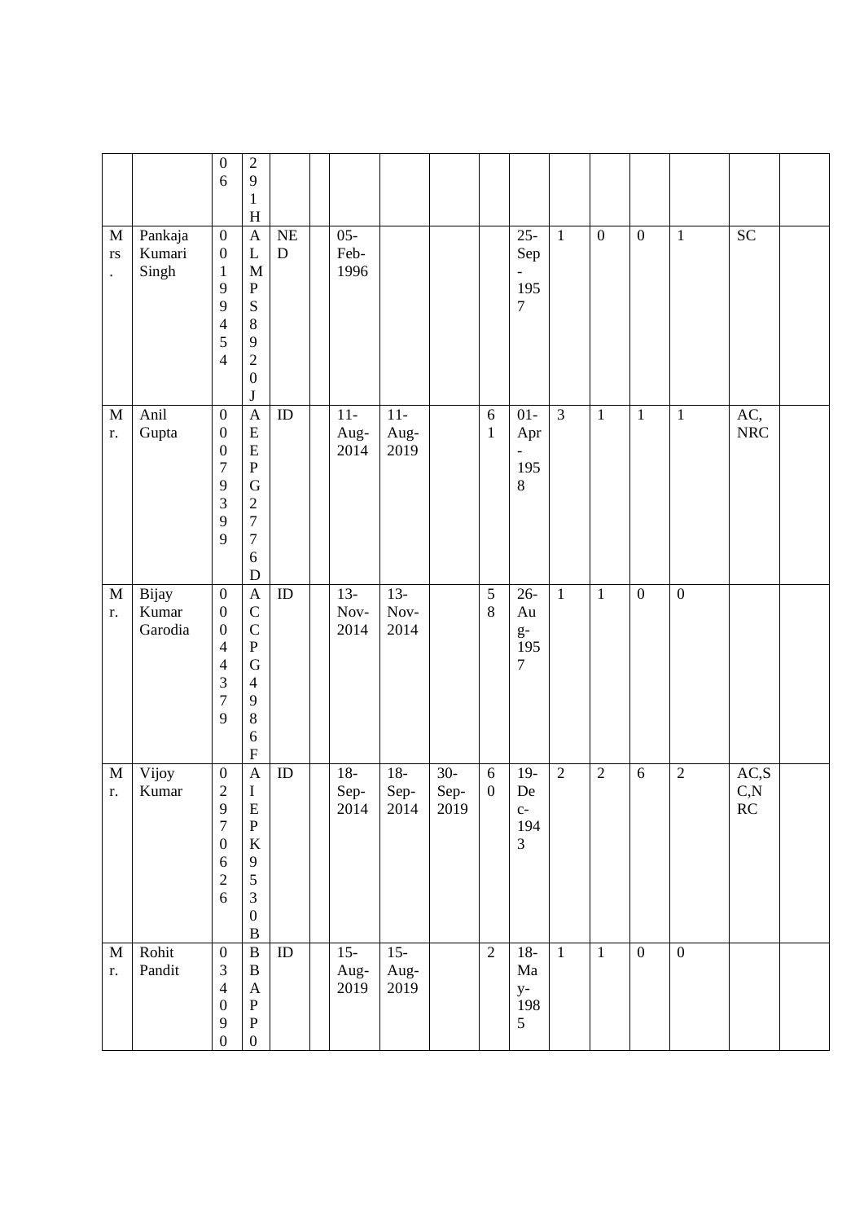|                                                    |                            | $\boldsymbol{0}$<br>6                                                                                                    | $\overline{2}$<br>9<br>$\mathbf{1}$<br>$H_{\rm}$                                                                                 |                        |                         |                        |                       |                                |                                               |                |                  |                  |                  |                           |  |
|----------------------------------------------------|----------------------------|--------------------------------------------------------------------------------------------------------------------------|----------------------------------------------------------------------------------------------------------------------------------|------------------------|-------------------------|------------------------|-----------------------|--------------------------------|-----------------------------------------------|----------------|------------------|------------------|------------------|---------------------------|--|
| $\mathbf M$<br>$\mathbf{r}\mathbf{s}$<br>$\bullet$ | Pankaja<br>Kumari<br>Singh | $\boldsymbol{0}$<br>$\boldsymbol{0}$<br>$\mathbf{1}$<br>9<br>9<br>$\overline{4}$<br>5<br>$\overline{4}$                  | $\mathbf{A}$<br>$\mathbf L$<br>M<br>${\bf P}$<br>${\bf S}$<br>$\bf 8$<br>9<br>$\overline{2}$<br>$\boldsymbol{0}$<br>$\bf J$      | <b>NE</b><br>${\bf D}$ | $05 -$<br>Feb-<br>1996  |                        |                       |                                | $25 -$<br>Sep<br>195<br>$\boldsymbol{7}$      | $\mathbf{1}$   | $\boldsymbol{0}$ | $\boldsymbol{0}$ | $\mathbf{1}$     | <b>SC</b>                 |  |
| $\mathbf M$<br>r.                                  | Anil<br>Gupta              | $\boldsymbol{0}$<br>$\boldsymbol{0}$<br>$\boldsymbol{0}$<br>$\overline{7}$<br>9<br>3<br>9<br>9                           | $\mathbf{A}$<br>${\bf E}$<br>${\bf E}$<br>${\bf P}$<br>$\mathbf G$<br>$\sqrt{2}$<br>$\overline{7}$<br>$\tau$<br>6<br>$\mathbf D$ | ID                     | $11-$<br>Aug-<br>2014   | $11-$<br>Aug-<br>2019  |                       | $\sqrt{6}$<br>$\mathbf{1}$     | $01-$<br>Apr<br>195<br>$\,8\,$                | $\overline{3}$ | $\mathbf 1$      | $\mathbf{1}$     | $\mathbf{1}$     | AC,<br><b>NRC</b>         |  |
| $\mathbf M$<br>r.                                  | Bijay<br>Kumar<br>Garodia  | $\boldsymbol{0}$<br>$\boldsymbol{0}$<br>$\boldsymbol{0}$<br>$\overline{4}$<br>$\overline{4}$<br>3<br>$\overline{7}$<br>9 | $\mathbf{A}$<br>$\mathsf C$<br>$\mathsf{C}$<br>${\bf P}$<br>$\mathbf G$<br>$\overline{4}$<br>9<br>$\,8\,$<br>6<br>${\bf F}$      | ID                     | $13 -$<br>Nov-<br>2014  | $13-$<br>Nov-<br>2014  |                       | $\overline{5}$<br>8            | $26 -$<br>Au<br>$g-$<br>195<br>$\overline{7}$ | $\mathbf{1}$   | $\mathbf{1}$     | $\mathbf{0}$     | $\boldsymbol{0}$ |                           |  |
| M<br>r.                                            | Vijoy<br>Kumar             | $\boldsymbol{0}$<br>$\overline{2}$<br>9<br>$\overline{7}$<br>$\boldsymbol{0}$<br>6<br>$\overline{c}$<br>6                | $\mathbf{A}$<br>I<br>E<br>${\bf P}$<br>$\rm K$<br>9<br>$\sqrt{5}$<br>$\mathfrak{Z}$<br>$\boldsymbol{0}$<br>$\, {\bf B}$          | ID                     | $18-$<br>$Sep-$<br>2014 | $18-$<br>Sep-<br>2014  | $30-$<br>Sep-<br>2019 | $\sqrt{6}$<br>$\boldsymbol{0}$ | $19-$<br>De<br>$C-$<br>194<br>$\overline{3}$  | $\sqrt{2}$     | $\sqrt{2}$       | 6                | $\sqrt{2}$       | $\rm AC, S$<br>C, N<br>RC |  |
| $\mathbf M$<br>r.                                  | Rohit<br>Pandit            | $\boldsymbol{0}$<br>$\mathfrak{Z}$<br>$\overline{4}$<br>$\boldsymbol{0}$<br>9<br>$\boldsymbol{0}$                        | $\, {\bf B}$<br>$\, {\bf B}$<br>$\mathbf{A}$<br>${\bf P}$<br>${\bf P}$<br>$\boldsymbol{0}$                                       | $\rm ID$               | $15 -$<br>Aug-<br>2019  | $15 -$<br>Aug-<br>2019 |                       | $\overline{2}$                 | $18-$<br>$\rm{Ma}$<br>$y-$<br>198<br>5        | $\mathbf{1}$   | $\mathbf{1}$     | $\boldsymbol{0}$ | $\boldsymbol{0}$ |                           |  |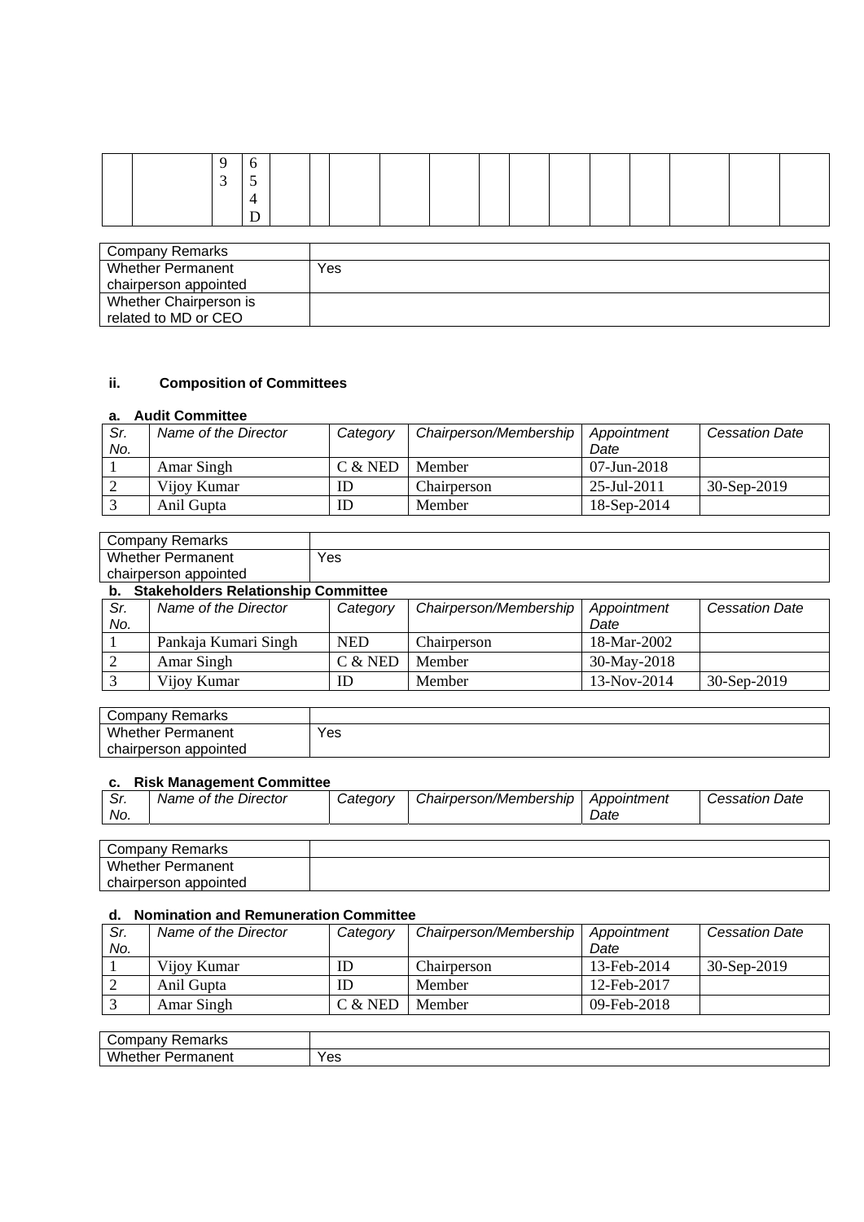|  | $\sim$ | $\sim$ |  |  |  |  |  |  |  |
|--|--------|--------|--|--|--|--|--|--|--|
|  |        |        |  |  |  |  |  |  |  |
|  |        |        |  |  |  |  |  |  |  |

| Company Remarks        |     |
|------------------------|-----|
| Whether Permanent      | Yes |
| chairperson appointed  |     |
| Whether Chairperson is |     |
| related to MD or CEO   |     |

# **ii. Composition of Committees**

### **a. Audit Committee**

| Sr. | Name of the Director | Category  | Chairperson/Membership | Appointment       | <b>Cessation Date</b> |
|-----|----------------------|-----------|------------------------|-------------------|-----------------------|
| No. |                      |           |                        | Date              |                       |
|     | Amar Singh           | $C &$ NED | Member                 | $07 - Jun - 2018$ |                       |
|     | Vijoy Kumar          | ID        | Chairperson            | 25-Jul-2011       | $30-Sep-2019$         |
|     | Anil Gupta           | ID        | Member                 | 18-Sep-2014       |                       |

| Company Remarks       |                                            |          |                        |             |                       |
|-----------------------|--------------------------------------------|----------|------------------------|-------------|-----------------------|
| Whether Permanent     |                                            | Yes      |                        |             |                       |
| chairperson appointed |                                            |          |                        |             |                       |
|                       | <b>Stakeholders Relationship Committee</b> |          |                        |             |                       |
| Sr.                   | Name of the Director                       | Category | Chairperson/Membership | Appointment | <b>Cessation Date</b> |

| No. |                      |         |             | Date          |             |
|-----|----------------------|---------|-------------|---------------|-------------|
|     | Pankaja Kumari Singh | NED     | Chairperson | 18-Mar-2002   |             |
|     | Amar Singh           | C & NED | Member      | 30-May-2018   |             |
|     | Vijoy Kumar          | ID      | Member      | $13-Nov-2014$ | 30-Sep-2019 |

| Remarks<br>ompanyٽ       |     |
|--------------------------|-----|
| Whether<br>Permanent     | Yes |
| appointed<br>chairperson |     |

### **c. Risk Management Committee**

| ົ່<br>, اب<br>No. | Name of the Director | Category | Chairperson/Membership | Appointment<br>Date | <b>Cessation Date</b> |
|-------------------|----------------------|----------|------------------------|---------------------|-----------------------|
|                   |                      |          |                        |                     |                       |

| Remarks<br>' ompanyب     |  |
|--------------------------|--|
| Whether<br>Permanent     |  |
| chairperson<br>appointed |  |

## **d. Nomination and Remuneration Committee**

| Sr. | Name of the Director | Category | Chairperson/Membership | Appointment | <b>Cessation Date</b> |
|-----|----------------------|----------|------------------------|-------------|-----------------------|
| No. |                      |          |                        | Date        |                       |
|     | Vijoy Kumar          | ID       | Chairperson            | 13-Feb-2014 | 30-Sep-2019           |
|     | Anil Gupta           | ID       | Member                 | 12-Feb-2017 |                       |
|     | Amar Singh           | C & NED  | Member                 | 09-Feb-2018 |                       |

| $\overline{\phantom{0}}$<br>--<br>.<br>71 N.C |     |
|-----------------------------------------------|-----|
| <b>M/F</b><br>.<br>יוסו<br>.                  | Yes |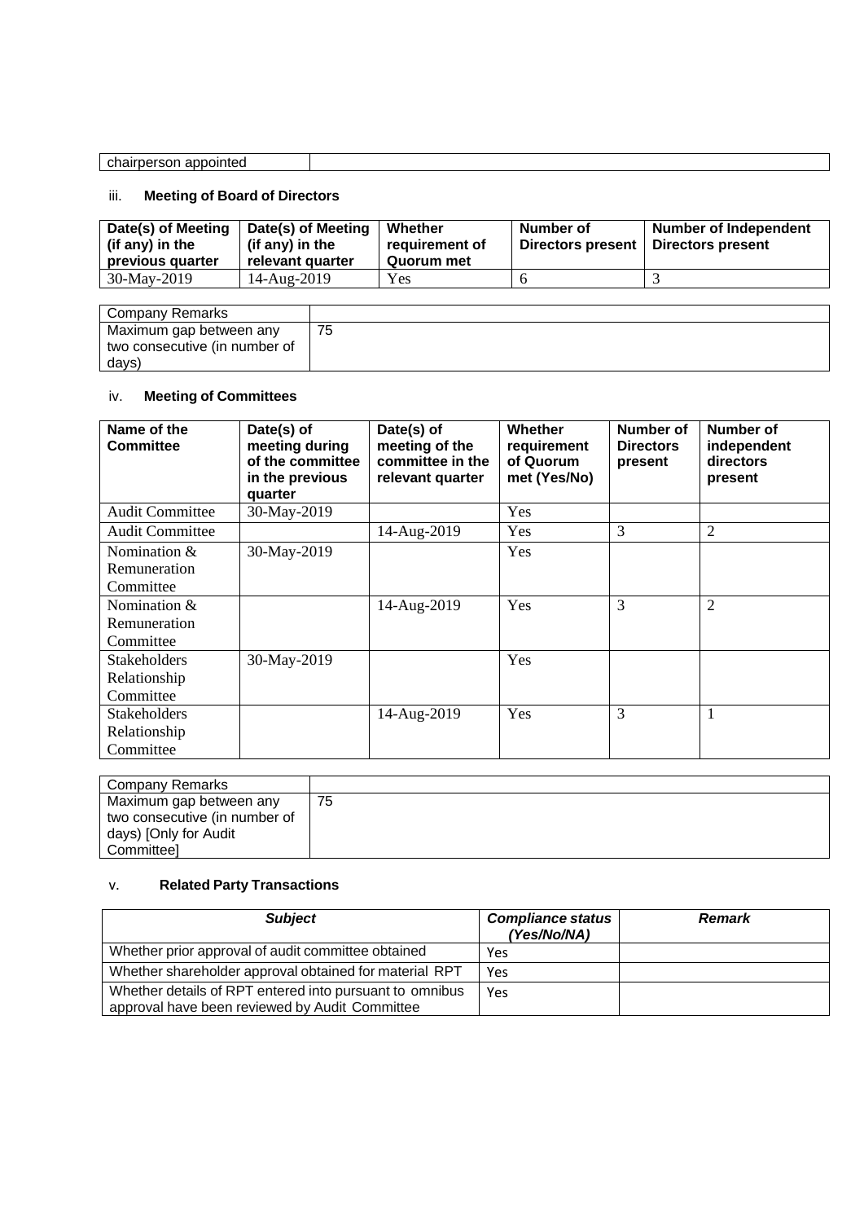| appointed<br>chairperson<br>. |  |
|-------------------------------|--|

# iii. **Meeting of Board of Directors**

| (if any) in the<br>(if any) in the<br>requirement of<br>Quorum met<br>previous quarter<br>relevant quarter | Directors present<br>Directors present |
|------------------------------------------------------------------------------------------------------------|----------------------------------------|
| 30-May-2019<br>Yes<br>14-Aug-2019                                                                          |                                        |

| Company Remarks               |  |
|-------------------------------|--|
| Maximum gap between any       |  |
| two consecutive (in number of |  |
| days)                         |  |

# iv. **Meeting of Committees**

| Name of the<br><b>Committee</b> | Date(s) of<br>meeting during<br>of the committee<br>in the previous<br>quarter | Date(s) of<br>meeting of the<br>committee in the<br>relevant quarter | Whether<br>requirement<br>of Quorum<br>met (Yes/No) | Number of<br><b>Directors</b><br>present | Number of<br>independent<br>directors<br>present |
|---------------------------------|--------------------------------------------------------------------------------|----------------------------------------------------------------------|-----------------------------------------------------|------------------------------------------|--------------------------------------------------|
| <b>Audit Committee</b>          | 30-May-2019                                                                    |                                                                      | Yes                                                 |                                          |                                                  |
| <b>Audit Committee</b>          |                                                                                | 14-Aug-2019                                                          | <b>Yes</b>                                          | 3                                        | $\overline{2}$                                   |
| Nomination &                    | 30-May-2019                                                                    |                                                                      | Yes                                                 |                                          |                                                  |
| Remuneration                    |                                                                                |                                                                      |                                                     |                                          |                                                  |
| Committee                       |                                                                                |                                                                      |                                                     |                                          |                                                  |
| Nomination $&$                  |                                                                                | 14-Aug-2019                                                          | Yes                                                 | 3                                        | $\overline{2}$                                   |
| Remuneration                    |                                                                                |                                                                      |                                                     |                                          |                                                  |
| Committee                       |                                                                                |                                                                      |                                                     |                                          |                                                  |
| <b>Stakeholders</b>             | 30-May-2019                                                                    |                                                                      | Yes                                                 |                                          |                                                  |
| Relationship                    |                                                                                |                                                                      |                                                     |                                          |                                                  |
| Committee                       |                                                                                |                                                                      |                                                     |                                          |                                                  |
| <b>Stakeholders</b>             |                                                                                | 14-Aug-2019                                                          | Yes                                                 | 3                                        |                                                  |
| Relationship                    |                                                                                |                                                                      |                                                     |                                          |                                                  |
| Committee                       |                                                                                |                                                                      |                                                     |                                          |                                                  |

| Company Remarks               |    |
|-------------------------------|----|
| Maximum gap between any       | 75 |
| two consecutive (in number of |    |
| days) [Only for Audit         |    |
| Committeel                    |    |

## v. **Related Party Transactions**

| <b>Subject</b>                                                                                            | <b>Compliance status</b><br>(Yes/No/NA) | <b>Remark</b> |
|-----------------------------------------------------------------------------------------------------------|-----------------------------------------|---------------|
| Whether prior approval of audit committee obtained                                                        | Yes                                     |               |
| Whether shareholder approval obtained for material RPT                                                    | Yes                                     |               |
| Whether details of RPT entered into pursuant to omnibus<br>approval have been reviewed by Audit Committee | Yes                                     |               |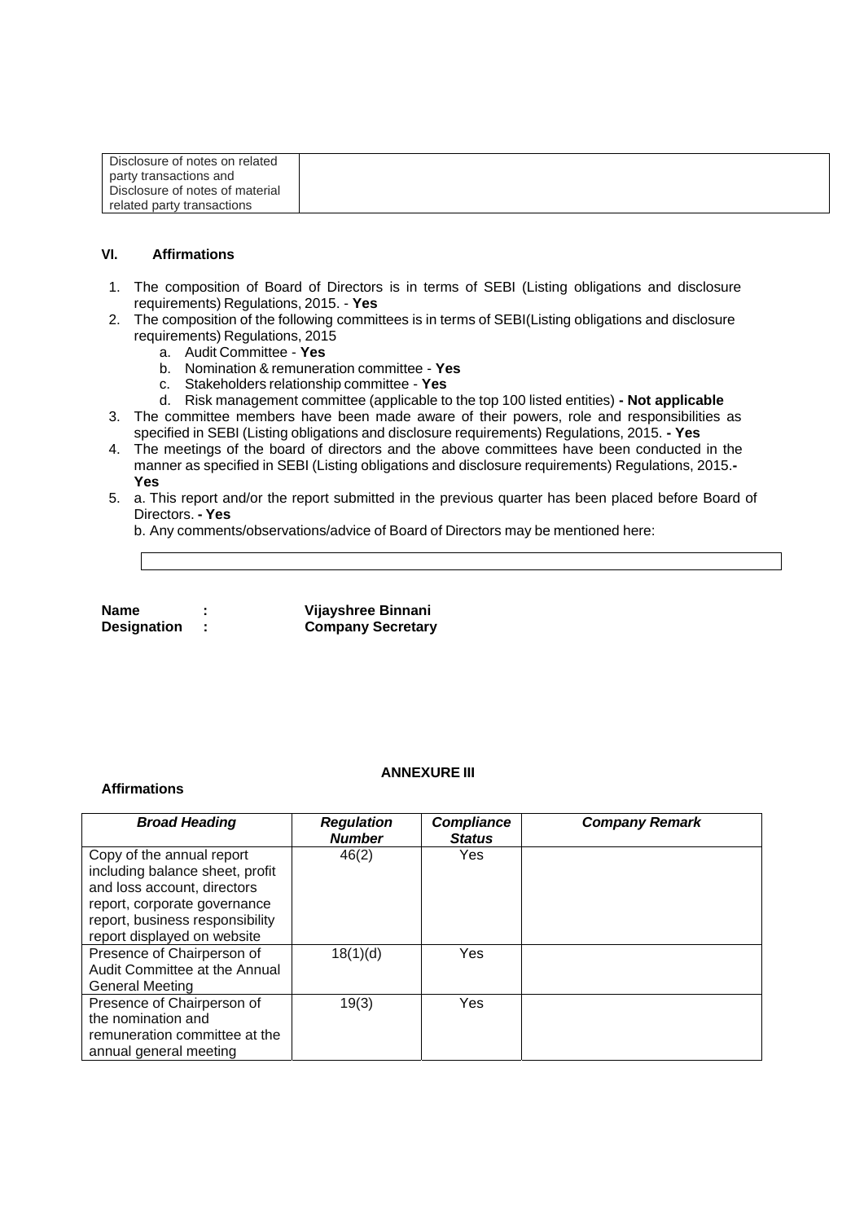| Disclosure of notes on related  |  |
|---------------------------------|--|
| party transactions and          |  |
| Disclosure of notes of material |  |
| related party transactions      |  |

#### **VI. Affirmations**

- 1. The composition of Board of Directors is in terms of SEBI (Listing obligations and disclosure requirements) Regulations, 2015. - **Yes**
- 2. The composition of the following committees is in terms of SEBI(Listing obligations and disclosure requirements) Regulations, 2015
	- a. Audit Committee **Yes**
	- b. Nomination & remuneration committee **Yes**
	- c. Stakeholders relationship committee **Yes**
	- d. Risk management committee (applicable to the top 100 listed entities)  **Not applicable**
- 3. The committee members have been made aware of their powers, role and responsibilities as specified in SEBI (Listing obligations and disclosure requirements) Regulations, 2015. **- Yes**
- 4. The meetings of the board of directors and the above committees have been conducted in the manner as specified in SEBI (Listing obligations and disclosure requirements) Regulations, 2015.**- Yes**
- 5. a. This report and/or the report submitted in the previous quarter has been placed before Board of Directors. **- Yes**

b. Any comments/observations/advice of Board of Directors may be mentioned here:

**Name : Vijayshree Binnani Designation : Company Secretary**

#### **Affirmations**

#### **ANNEXURE III**

| <b>Broad Heading</b>                                                                                                                                                                          | <b>Regulation</b><br><b>Number</b> | <b>Compliance</b><br><b>Status</b> | <b>Company Remark</b> |
|-----------------------------------------------------------------------------------------------------------------------------------------------------------------------------------------------|------------------------------------|------------------------------------|-----------------------|
| Copy of the annual report<br>including balance sheet, profit<br>and loss account, directors<br>report, corporate governance<br>report, business responsibility<br>report displayed on website | 46(2)                              | Yes                                |                       |
| Presence of Chairperson of<br>Audit Committee at the Annual<br>General Meeting                                                                                                                | 18(1)(d)                           | Yes                                |                       |
| Presence of Chairperson of<br>the nomination and<br>remuneration committee at the<br>annual general meeting                                                                                   | 19(3)                              | Yes                                |                       |